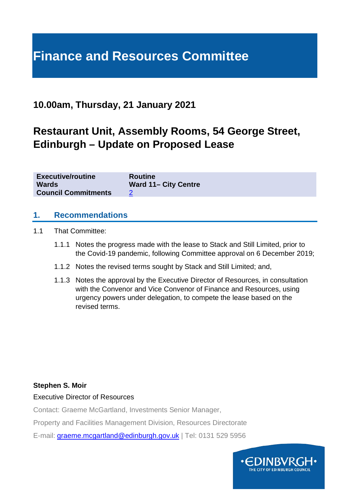# **Finance and Resources Committee**

## **10.00am, Thursday, 21 January 2021**

# **Restaurant Unit, Assembly Rooms, 54 George Street, Edinburgh – Update on Proposed Lease**

| <b>Executive/routine</b>   | <b>Routine</b>              |
|----------------------------|-----------------------------|
| <b>Wards</b>               | <b>Ward 11- City Centre</b> |
| <b>Council Commitments</b> |                             |

#### **1. Recommendations**

- 1.1 That Committee:
	- 1.1.1 Notes the progress made with the lease to Stack and Still Limited, prior to the Covid-19 pandemic, following Committee approval on 6 December 2019;
	- 1.1.2 Notes the revised terms sought by Stack and Still Limited; and,
	- 1.1.3 Notes the approval by the Executive Director of Resources, in consultation with the Convenor and Vice Convenor of Finance and Resources, using urgency powers under delegation, to compete the lease based on the revised terms.

#### **Stephen S. Moir**

#### Executive Director of Resources

Contact: Graeme McGartland, Investments Senior Manager,

Property and Facilities Management Division, Resources Directorate

E-mail: [graeme.mcgartland@edinburgh.gov.uk](mailto:graeme.mcgartland@edinburgh.gov.uk) | Tel: 0131 529 5956

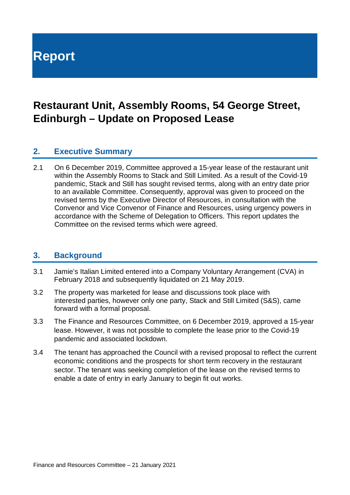# **Report**

# **Restaurant Unit, Assembly Rooms, 54 George Street, Edinburgh – Update on Proposed Lease**

#### **2. Executive Summary**

2.1 On 6 December 2019, Committee approved a 15-year lease of the restaurant unit within the Assembly Rooms to Stack and Still Limited. As a result of the Covid-19 pandemic, Stack and Still has sought revised terms, along with an entry date prior to an available Committee. Consequently, approval was given to proceed on the revised terms by the Executive Director of Resources, in consultation with the Convenor and Vice Convenor of Finance and Resources, using urgency powers in accordance with the Scheme of Delegation to Officers. This report updates the Committee on the revised terms which were agreed.

#### **3. Background**

- 3.1 Jamie's Italian Limited entered into a Company Voluntary Arrangement (CVA) in February 2018 and subsequently liquidated on 21 May 2019.
- 3.2 The property was marketed for lease and discussions took place with interested parties, however only one party, Stack and Still Limited (S&S), came forward with a formal proposal.
- 3.3 The Finance and Resources Committee, on 6 December 2019, approved a 15-year lease. However, it was not possible to complete the lease prior to the Covid-19 pandemic and associated lockdown.
- 3.4 The tenant has approached the Council with a revised proposal to reflect the current economic conditions and the prospects for short term recovery in the restaurant sector. The tenant was seeking completion of the lease on the revised terms to enable a date of entry in early January to begin fit out works.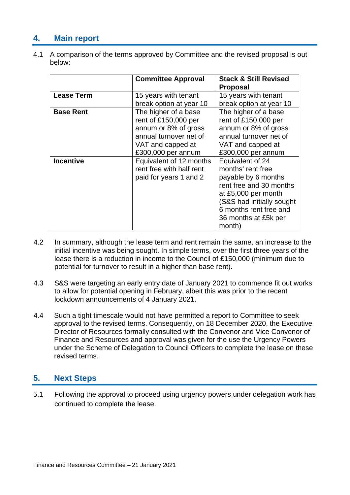### **4. Main report**

4.1 A comparison of the terms approved by Committee and the revised proposal is out below:

|                   | <b>Committee Approval</b>                                                                                                                 | <b>Stack &amp; Still Revised</b><br><b>Proposal</b>                                                                                                                                                     |
|-------------------|-------------------------------------------------------------------------------------------------------------------------------------------|---------------------------------------------------------------------------------------------------------------------------------------------------------------------------------------------------------|
| <b>Lease Term</b> | 15 years with tenant<br>break option at year 10                                                                                           | 15 years with tenant<br>break option at year 10                                                                                                                                                         |
| <b>Base Rent</b>  | The higher of a base<br>rent of £150,000 per<br>annum or 8% of gross<br>annual turnover net of<br>VAT and capped at<br>£300,000 per annum | The higher of a base<br>rent of £150,000 per<br>annum or 8% of gross<br>annual turnover net of<br>VAT and capped at<br>£300,000 per annum                                                               |
| <b>Incentive</b>  | Equivalent of 12 months<br>rent free with half rent<br>paid for years 1 and 2                                                             | Equivalent of 24<br>months' rent free<br>payable by 6 months<br>rent free and 30 months<br>at £5,000 per month<br>(S&S had initially sought<br>6 months rent free and<br>36 months at £5k per<br>month) |

- 4.2 In summary, although the lease term and rent remain the same, an increase to the initial incentive was being sought. In simple terms, over the first three years of the lease there is a reduction in income to the Council of £150,000 (minimum due to potential for turnover to result in a higher than base rent).
- 4.3 S&S were targeting an early entry date of January 2021 to commence fit out works to allow for potential opening in February, albeit this was prior to the recent lockdown announcements of 4 January 2021.
- 4.4 Such a tight timescale would not have permitted a report to Committee to seek approval to the revised terms. Consequently, on 18 December 2020, the Executive Director of Resources formally consulted with the Convenor and Vice Convenor of Finance and Resources and approval was given for the use the Urgency Powers under the Scheme of Delegation to Council Officers to complete the lease on these revised terms.

#### **5. Next Steps**

5.1 Following the approval to proceed using urgency powers under delegation work has continued to complete the lease.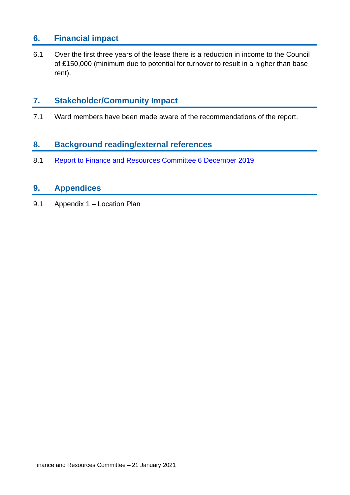#### **6. Financial impact**

6.1 Over the first three years of the lease there is a reduction in income to the Council of £150,000 (minimum due to potential for turnover to result in a higher than base rent).

### **7. Stakeholder/Community Impact**

7.1 Ward members have been made aware of the recommendations of the report.

#### **8. Background reading/external references**

8.1 [Report to Finance and Resources Committee 6 December 2019](https://democracy.edinburgh.gov.uk/documents/s11679/Item%208.3%20-%20Proposed%20Lease%20Assembly%20Rooms%2054%20George%20Street.pdf)

#### **9. Appendices**

9.1 Appendix 1 – Location Plan